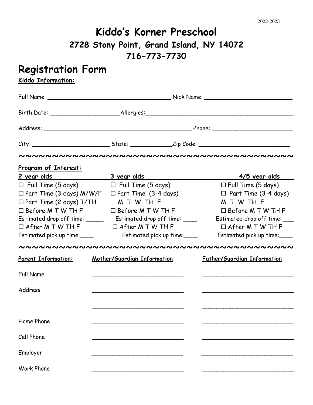## **Kiddo's Korner Preschool 2728 Stony Point, Grand Island, NY 14072 716-773-7730**

## **Registration Form**

**Kiddo Information:**

| <u>Program of Interest:</u>                                          |                             |  |                                    |
|----------------------------------------------------------------------|-----------------------------|--|------------------------------------|
|                                                                      |                             |  | <u>4/5 year olds</u>               |
| $\Box$ Full Time (5 days) $\Box$ Full Time (5 days)                  |                             |  | $\Box$ Full Time (5 days)          |
| $\Box$ Part Time (3 days) M/W/F $\Box$ Part Time (3-4 days)          |                             |  | $\Box$ Part Time (3-4 days)        |
| $\Box$ Part Time (2 days) T/TH                                       | M T W TH F                  |  | M T W TH F                         |
| $\Box$ Before M T W TH F $\Box$ Before M T W TH F                    |                             |  | $\Box$ Before M T W TH F           |
| Estimated drop off time: ___________ Estimated drop off time: ______ |                             |  | Estimated drop off time: ___       |
| $\Box$ After M T W TH F $\Box$ After M T W TH F                      |                             |  | $\Box$ After M T W TH F            |
| Estimated pick up time:_____                                         | Estimated pick up time:     |  | Estimated pick up time:            |
|                                                                      |                             |  |                                    |
| <b>Parent Information:</b>                                           | Mother/Guardian Information |  | <b>Father/Guardian Information</b> |
| <b>Full Name</b>                                                     |                             |  |                                    |
| Address                                                              |                             |  |                                    |
|                                                                      |                             |  |                                    |
| Home Phone                                                           |                             |  |                                    |
| Cell Phone                                                           |                             |  |                                    |
| Employer                                                             |                             |  |                                    |
| <b>Work Phone</b>                                                    |                             |  |                                    |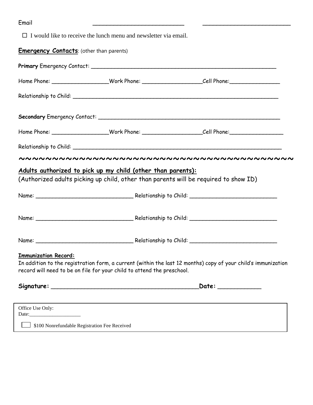| -<br>Email |  |
|------------|--|
|            |  |

 $\Box$  I would like to receive the lunch menu and newsletter via email.

## **Emergency Contacts:** (other than parents)

|                             |                                                                        | Home Phone: ___________________Work Phone: _________________________Cell Phone: ____________________           |
|-----------------------------|------------------------------------------------------------------------|----------------------------------------------------------------------------------------------------------------|
|                             |                                                                        |                                                                                                                |
|                             |                                                                        |                                                                                                                |
|                             |                                                                        | Home Phone: ___________________Work Phone: ___________________________Cell Phone: ____________________________ |
|                             |                                                                        |                                                                                                                |
|                             |                                                                        |                                                                                                                |
|                             | Adults authorized to pick up my child (other than parents):            |                                                                                                                |
|                             |                                                                        | (Authorized adults picking up child, other than parents will be required to show ID)                           |
|                             |                                                                        |                                                                                                                |
|                             |                                                                        |                                                                                                                |
|                             |                                                                        |                                                                                                                |
| <b>Immunization Record:</b> |                                                                        |                                                                                                                |
|                             | record will need to be on file for your child to attend the preschool. | In addition to the registration form, a current (within the last 12 months) copy of your child's immunization  |
|                             |                                                                        | Date: _____________                                                                                            |
| Office Use Only:            |                                                                        |                                                                                                                |

\$100 Nonrefundable Registration Fee Received